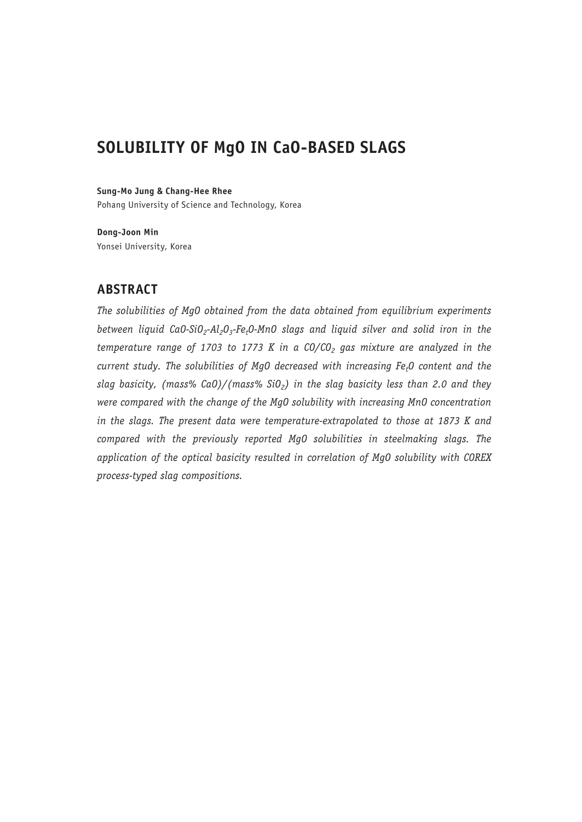# **SOLUBILITY OF MgO IN CaO-BASED SLAGS**

#### **Sung-Mo Jung & Chang-Hee Rhee**

Pohang University of Science and Technology, Korea

**Dong-Joon Min** Yonsei University, Korea

# **ABSTRACT**

*The solubilities of MgO obtained from the data obtained from equilibrium experiments between liquid CaO-SiO<sub>2</sub>-Al<sub>2</sub>O<sub>3</sub>-Fe<sub>t</sub>O-MnO slags and liquid silver and solid iron in the temperature range of 1703 to 1773 K in a CO/CO<sub>2</sub> gas mixture are analyzed in the current study. The solubilities of MgO decreased with increasing Fe<sub>t</sub>O content and the* slag basicity, (mass% CaO)/(mass% SiO<sub>2</sub>) in the slag basicity less than 2.0 and they *were compared with the change of the MgO solubility with increasing MnO concentration in the slags. The present data were temperature-extrapolated to those at 1873 K and compared with the previously reported MgO solubilities in steelmaking slags. The application of the optical basicity resulted in correlation of MgO solubility with COREX process-typed slag compositions.*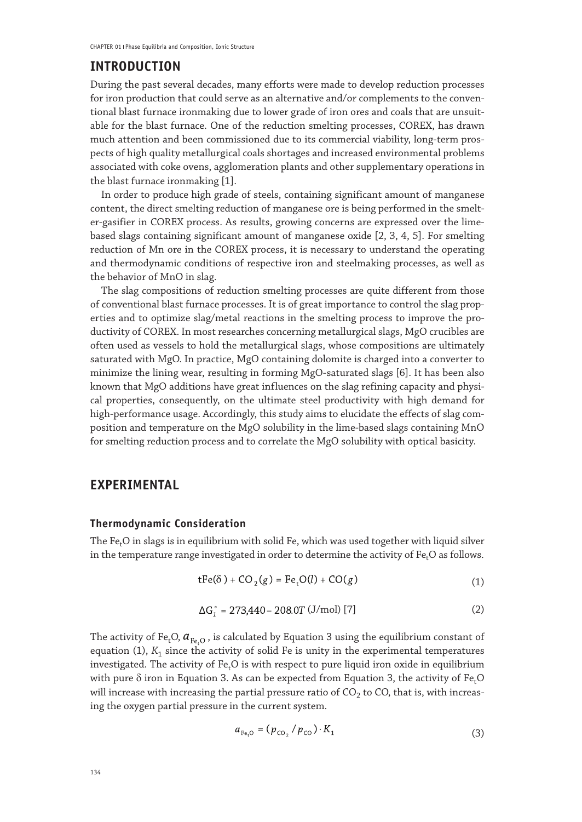### **INTRODUCTION**

During the past several decades, many efforts were made to develop reduction processes for iron production that could serve as an alternative and/or complements to the conventional blast furnace ironmaking due to lower grade of iron ores and coals that are unsuitable for the blast furnace. One of the reduction smelting processes, COREX, has drawn much attention and been commissioned due to its commercial viability, long-term prospects of high quality metallurgical coals shortages and increased environmental problems associated with coke ovens, agglomeration plants and other supplementary operations in the blast furnace ironmaking [1].

In order to produce high grade of steels, containing significant amount of manganese content, the direct smelting reduction of manganese ore is being performed in the smelter-gasifier in COREX process. As results, growing concerns are expressed over the limebased slags containing significant amount of manganese oxide [2, 3, 4, 5]. For smelting reduction of Mn ore in the COREX process, it is necessary to understand the operating and thermodynamic conditions of respective iron and steelmaking processes, as well as the behavior of MnO in slag.

The slag compositions of reduction smelting processes are quite different from those of conventional blast furnace processes. It is of great importance to control the slag properties and to optimize slag/metal reactions in the smelting process to improve the productivity of COREX. In most researches concerning metallurgical slags, MgO crucibles are often used as vessels to hold the metallurgical slags, whose compositions are ultimately saturated with MgO. In practice, MgO containing dolomite is charged into a converter to minimize the lining wear, resulting in forming MgO-saturated slags [6]. It has been also known that MgO additions have great influences on the slag refining capacity and physical properties, consequently, on the ultimate steel productivity with high demand for high-performance usage. Accordingly, this study aims to elucidate the effects of slag composition and temperature on the MgO solubility in the lime-based slags containing MnO for smelting reduction process and to correlate the MgO solubility with optical basicity.

# **EXPERIMENTAL**

#### **Thermodynamic Consideration**

The Fe<sub>t</sub>O in slags is in equilibrium with solid Fe, which was used together with liquid silver in the temperature range investigated in order to determine the activity of  $Fe<sub>t</sub>O$  as follows.

$$
tFe(\delta) + CO_2(g) = Fe_tO(l) + CO(g)
$$
\n(1)

$$
\Delta G_1^{\circ} = 273,440 - 208.0T \, (J/mol) \, [7] \tag{2}
$$

The activity of Fe<sub>t</sub>O,  $a_{Fe, O}$ , is calculated by Equation 3 using the equilibrium constant of equation  $(1)$ ,  $K_1$  since the activity of solid Fe is unity in the experimental temperatures investigated. The activity of  $Fe<sub>t</sub>O$  is with respect to pure liquid iron oxide in equilibrium with pure  $\delta$  iron in Equation 3. As can be expected from Equation 3, the activity of Fe<sub>t</sub>O will increase with increasing the partial pressure ratio of  $CO<sub>2</sub>$  to  $CO$ , that is, with increasing the oxygen partial pressure in the current system.

$$
a_{\text{Fe}_1\text{O}} = (p_{\text{CO}_2} / p_{\text{CO}}) \cdot K_1 \tag{3}
$$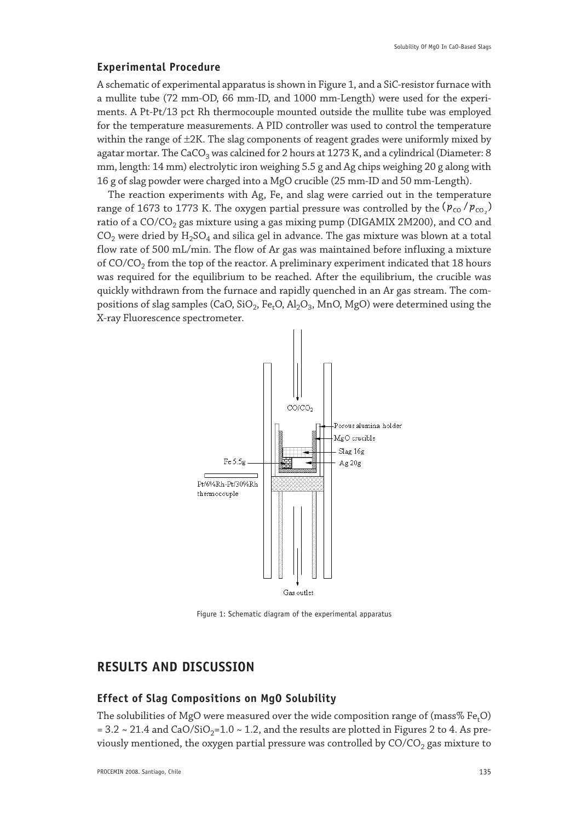#### **Experimental Procedure**

A schematic of experimental apparatus is shown in Figure 1, and a SiC-resistor furnace with a mullite tube (72 mm-OD, 66 mm-ID, and 1000 mm-Length) were used for the experiments. A Pt-Pt/13 pct Rh thermocouple mounted outside the mullite tube was employed for the temperature measurements. A PID controller was used to control the temperature within the range of  $\pm$ 2K. The slag components of reagent grades were uniformly mixed by agatar mortar. The CaCO<sub>3</sub> was calcined for 2 hours at 1273 K, and a cylindrical (Diameter: 8 mm, length: 14 mm) electrolytic iron weighing 5.5 g and Ag chips weighing 20 g along with 16 g of slag powder were charged into a MgO crucible (25 mm-ID and 50 mm-Length).

The reaction experiments with Ag, Fe, and slag were carried out in the temperature range of 1673 to 1773 K. The oxygen partial pressure was controlled by the  $(p_{\rm co}/p_{\rm co,})$ ratio of a  $CO/CO_2$  gas mixture using a gas mixing pump (DIGAMIX 2M200), and CO and  $CO_2$  were dried by  $H_2SO_4$  and silica gel in advance. The gas mixture was blown at a total flow rate of 500 mL/min. The flow of Ar gas was maintained before influxing a mixture of  $CO/CO<sub>2</sub>$  from the top of the reactor. A preliminary experiment indicated that 18 hours was required for the equilibrium to be reached. After the equilibrium, the crucible was quickly withdrawn from the furnace and rapidly quenched in an Ar gas stream. The compositions of slag samples (CaO, SiO<sub>2</sub>, Fe<sub>t</sub>O, Al<sub>2</sub>O<sub>3</sub>, MnO, MgO) were determined using the X-ray Fluorescence spectrometer.



Figure 1: Schematic diagram of the experimental apparatus

# **RESULTS AND DISCUSSION**

### **Effect of Slag Compositions on MgO Solubility**

The solubilities of MgO were measured over the wide composition range of (mass% Fe,O)  $= 3.2 \times 21.4$  and CaO/SiO<sub>2</sub>=1.0  $\sim$  1.2, and the results are plotted in Figures 2 to 4. As previously mentioned, the oxygen partial pressure was controlled by  $CO/CO<sub>2</sub>$  gas mixture to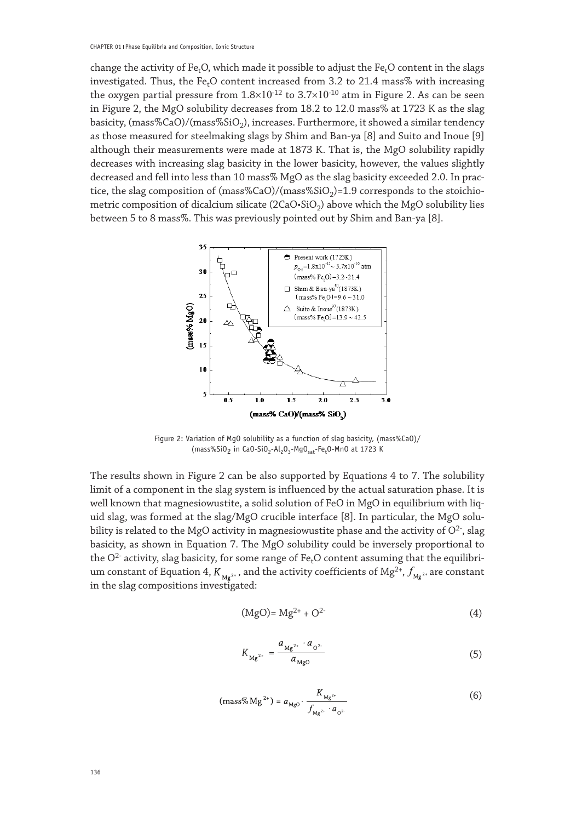change the activity of Fe<sub>t</sub>O, which made it possible to adjust the Fe<sub>t</sub>O content in the slags investigated. Thus, the Fe<sub>t</sub>O content increased from  $3.2$  to  $21.4$  mass% with increasing the oxygen partial pressure from  $1.8 \times 10^{-12}$  to  $3.7 \times 10^{-10}$  atm in Figure 2. As can be seen in Figure 2, the MgO solubility decreases from 18.2 to 12.0 mass% at 1723 K as the slag basicity, (mass%CaO)/(mass%SiO<sub>2</sub>), increases. Furthermore, it showed a similar tendency as those measured for steelmaking slags by Shim and Ban-ya [8] and Suito and Inoue [9] although their measurements were made at 1873 K. That is, the MgO solubility rapidly decreases with increasing slag basicity in the lower basicity, however, the values slightly decreased and fell into less than 10 mass% MgO as the slag basicity exceeded 2.0. In practice, the slag composition of  $(mass\%CaO)/(mass\%SiO<sub>2</sub>)=1.9$  corresponds to the stoichiometric composition of dicalcium silicate (2CaO $\cdot$ SiO<sub>2</sub>) above which the MgO solubility lies between 5 to 8 mass%. This was previously pointed out by Shim and Ban-ya [8].



Figure 2: Variation of MgO solubility as a function of slag basicity, (mass%CaO)/ (mass%SiO<sub>2</sub> in CaO-SiO<sub>2</sub>-Al<sub>2</sub>O<sub>3</sub>-MgO<sub>sat</sub>-Fe<sub>t</sub>O-MnO at 1723 K

The results shown in Figure 2 can be also supported by Equations 4 to 7. The solubility limit of a component in the slag system is influenced by the actual saturation phase. It is well known that magnesiowustite, a solid solution of FeO in MgO in equilibrium with liquid slag, was formed at the slag/MgO crucible interface [8]. In particular, the MgO solubility is related to the MgO activity in magnesiowustite phase and the activity of  $O^2$ , slag basicity, as shown in Equation 7. The MgO solubility could be inversely proportional to the  $O<sup>2-</sup>$  activity, slag basicity, for some range of Fe<sub>t</sub>O content assuming that the equilibrium constant of Equation 4,  $K_{Mg^{2+}}$ , and the activity coefficients of  $Mg^{2+}$ ,  $f_{Mg^{2+}}$  are constant in the slag compositions investigated:

$$
(MgO) = Mg^{2+} + O^{2-}
$$
 (4)

$$
K_{\text{Mg}^{2+}} = \frac{a_{\text{Mg}^{2+}} \cdot a_{\text{O}^{2-}}}{a_{\text{MgO}}} \tag{5}
$$

$$
(\text{mass} \%\text{Mg}^{2+}) = a_{\text{MgO}} \cdot \frac{K_{\text{Mg}^{2+}}}{f_{\text{Mg}^{2+}} \cdot a_{\text{O}^2}}
$$
(6)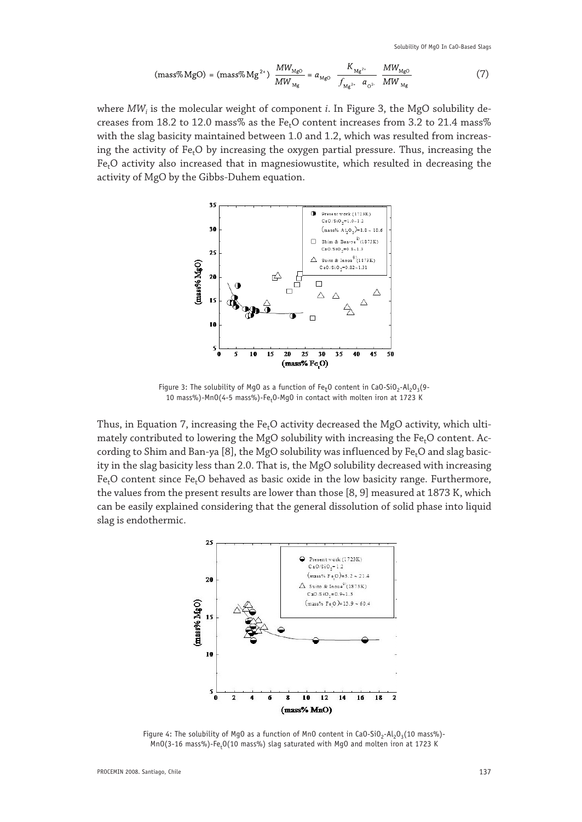$$
(\text{mass} \%\,\text{MgO}) = (\text{mass} \%\,\text{Mg}^{2+}) \frac{MW_{\text{MgO}}}{MW_{\text{Mg}}} = a_{\text{MgO}} \frac{K_{\text{Mg}^{2+}}}{f_{\text{Mg}^{2+}} a_{\text{O}^{2}}} \frac{MW_{\text{MgO}}}{MW_{\text{Mg}}}
$$
(7)

where *MWi* is the molecular weight of component *i*. In Figure 3, the MgO solubility decreases from 18.2 to 12.0 mass% as the FetO content increases from 3.2 to 21.4 mass% with the slag basicity maintained between 1.0 and 1.2, which was resulted from increasing the activity of  $Fe<sub>i</sub>O$  by increasing the oxygen partial pressure. Thus, increasing the Fe<sub>t</sub>O activity also increased that in magnesiowustite, which resulted in decreasing the activity of MgO by the Gibbs-Duhem equation.



Figure 3: The solubility of MgO as a function of Fe<sub>t</sub>O content in CaO-SiO<sub>2</sub>-Al<sub>2</sub>O<sub>3</sub>(9-10 mass%)-MnO(4-5 mass%)-Fe<sub>t</sub>O-MgO in contact with molten iron at 1723 K

Thus, in Equation 7, increasing the Fe<sub>t</sub>O activity decreased the MgO activity, which ultimately contributed to lowering the MgO solubility with increasing the  $Fe<sub>t</sub>O$  content. According to Shim and Ban-ya [8], the MgO solubility was influenced by  $Fe<sub>f</sub>O$  and slag basicity in the slag basicity less than 2.0. That is, the MgO solubility decreased with increasing  $Fe<sub>t</sub>O$  content since  $Fe<sub>t</sub>O$  behaved as basic oxide in the low basicity range. Furthermore, the values from the present results are lower than those [8, 9] measured at 1873 K, which can be easily explained considering that the general dissolution of solid phase into liquid slag is endothermic.



Figure 4: The solubility of MgO as a function of MnO content in CaO-SiO<sub>2</sub>-Al<sub>2</sub>O<sub>3</sub>(10 mass%)-<code>MnO(3-16</code> mass%)-Fe $_{\rm t}$ O(10 mass%) slag saturated with MgO and molten iron at 1723 K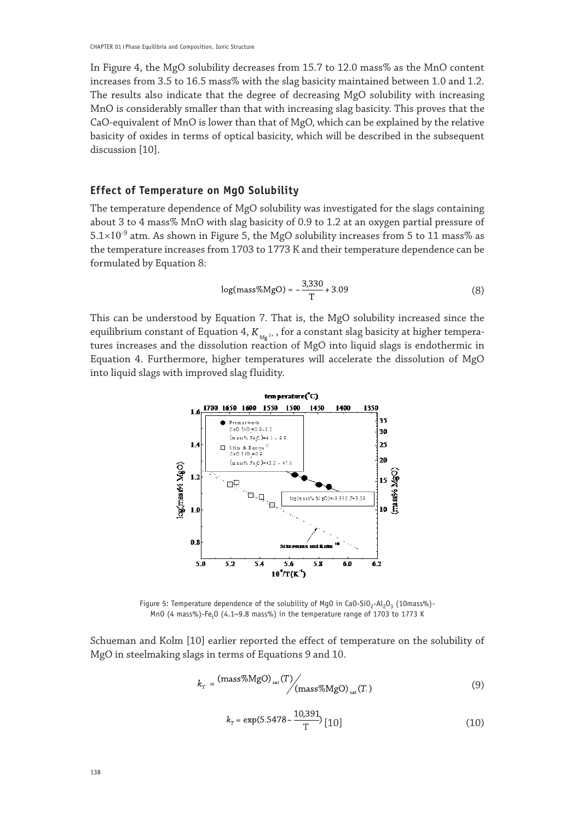In Figure 4, the MgO solubility decreases from 15.7 to 12.0 mass% as the MnO content increases from 3.5 to 16.5 mass% with the slag basicity maintained between 1.0 and 1.2. The results also indicate that the degree of decreasing MgO solubility with increasing MnO is considerably smaller than that with increasing slag basicity. This proves that the CaO-equivalent of MnO is lower than that of MgO, which can be explained by the relative basicity of oxides in terms of optical basicity, which will be described in the subsequent discussion [10].

#### **Effect of Temperature on MgO Solubility**

The temperature dependence of MgO solubility was investigated for the slags containing about 3 to 4 mass% MnO with slag basicity of 0.9 to 1.2 at an oxygen partial pressure of  $5.1\times10^{-9}$  atm. As shown in Figure 5, the MgO solubility increases from 5 to 11 mass% as the temperature increases from 1703 to 1773 K and their temperature dependence can be formulated by Equation 8:

$$
\log(\text{mass} \%\text{MgO}) = -\frac{3,330}{T} + 3.09\tag{8}
$$

This can be understood by Equation 7. That is, the MgO solubility increased since the equilibrium constant of Equation 4,  $K_{\text{Mpc}}$ <sup>2,</sup> , for a constant slag basicity at higher temperatures increases and the dissolution reaction of MgO into liquid slags is endothermic in Equation 4. Furthermore, higher temperatures will accelerate the dissolution of MgO into liquid slags with improved slag fluidity.



Figure 5: Temperature dependence of the solubility of Mq0 in CaO-SiO<sub>2</sub>-Al<sub>2</sub>O<sub>2</sub> (10mass%)-MnO (4 mass%)-Fe<sub>t</sub>O (4.1~9.8 mass%) in the temperature range of 1703 to 1773 K

Schueman and Kolm [10] earlier reported the effect of temperature on the solubility of MgO in steelmaking slags in terms of Equations 9 and 10.

$$
k_{T} = \frac{\text{(mass\%MgO)}}{\text{(mass\%MgO)}}_{\text{sat}}(T_{\cdot})\tag{9}
$$

$$
k_{\tau} = \exp(5.5478 - \frac{10,391}{T}) \left[ 10 \right] \tag{10}
$$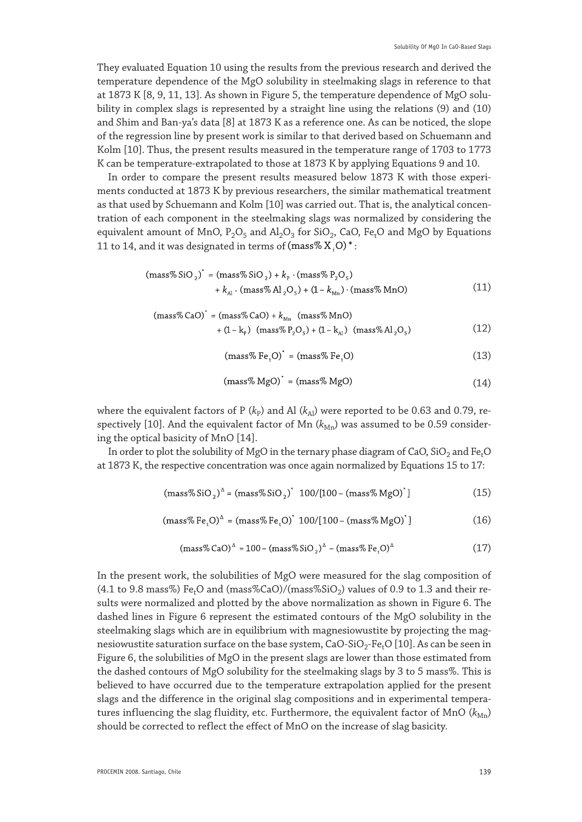They evaluated Equation 10 using the results from the previous research and derived the temperature dependence of the MgO solubility in steelmaking slags in reference to that at 1873 K [8, 9, 11, 13]. As shown in Figure 5, the temperature dependence of MgO solubility in complex slags is represented by a straight line using the relations (9) and (10) and Shim and Ban-ya's data [8] at 1873 K as a reference one. As can be noticed, the slope of the regression line by present work is similar to that derived based on Schuemann and Kolm [10]. Thus, the present results measured in the temperature range of 1703 to 1773 K can be temperature-extrapolated to those at 1873 K by applying Equations 9 and 10.

In order to compare the present results measured below 1873 K with those experiments conducted at 1873 K by previous researchers, the similar mathematical treatment as that used by Schuemann and Kolm [10] was carried out. That is, the analytical concentration of each component in the steelmaking slags was normalized by considering the equivalent amount of MnO,  $P_2O_5$  and  $Al_2O_3$  for SiO<sub>2</sub>, CaO, Fe<sub>t</sub>O and MgO by Equations 11 to 14, and it was designated in terms of (mass  $\%$  X, O)  $*$ :

$$
(\text{mass}\% \text{SiO}_2)^* = (\text{mass}\% \text{SiO}_2) + k_\text{p} \cdot (\text{mass}\% \text{P}_2\text{O}_5) + k_\text{Al} \cdot (\text{mass}\% \text{Al}_2\text{O}_5) + (1 - k_\text{Mn}) \cdot (\text{mass}\% \text{MnO})
$$
(11)

(mass% CaO)<sup>\*</sup> = (mass% CaO) + 
$$
k_{\text{Mn}}
$$
 (mass% MnO)  
+ (1 –  $k_{\text{p}}$ ) (mass%  $P_2O_5$ ) + (1 –  $k_{\text{Al}}$ ) (mass% Al<sub>2</sub>O<sub>5</sub>) (12)

$$
(\text{mass}\%\text{Fe}_t\text{O})^* = (\text{mass}\%\text{Fe}_t\text{O})\tag{13}
$$

$$
\left(\text{mass} \%\text{ MgO}\right)^{*} = \left(\text{mass} \%\text{ MgO}\right) \tag{14}
$$

where the equivalent factors of P ( $k<sub>P</sub>$ ) and Al ( $k<sub>Al</sub>$ ) were reported to be 0.63 and 0.79, respectively [10]. And the equivalent factor of Mn  $(k_{Mn})$  was assumed to be 0.59 considering the optical basicity of MnO [14].

In order to plot the solubility of MgO in the ternary phase diagram of CaO,  $SiO<sub>2</sub>$  and Fe<sub>t</sub>O at 1873 K, the respective concentration was once again normalized by Equations 15 to 17:

$$
(\text{mass}\% \text{SiO}_2)^{\Delta} = (\text{mass}\% \text{SiO}_2)^* \ 100/[100 - (\text{mass}\% \text{MgO})^*]
$$
(15)

 $(mass\% \, Fe, O)^{\Delta} = (mass\% \, Fe, O)^* \, 100/[100 - (mass\% \, MgO)^*]$ (16)

$$
(\text{mass}\%\text{CaO})^{\Delta} = 100 - (\text{mass}\%\text{SiO}_2)^{\Delta} - (\text{mass}\%\text{Fe}_t\text{O})^{\Delta} \tag{17}
$$

In the present work, the solubilities of MgO were measured for the slag composition of  $(4.1 \text{ to } 9.8 \text{ mass})$  Fe<sub>t</sub>O and  $(\text{mass}\%$ CaO $)/(\text{mass}\%$ SiO<sub>2</sub>) values of 0.9 to 1.3 and their results were normalized and plotted by the above normalization as shown in Figure 6. The dashed lines in Figure 6 represent the estimated contours of the MgO solubility in the steelmaking slags which are in equilibrium with magnesiowustite by projecting the magnesiowustite saturation surface on the base system,  $CaO-SiO<sub>2</sub>-Fe<sub>1</sub>O$  [10]. As can be seen in Figure 6, the solubilities of MgO in the present slags are lower than those estimated from the dashed contours of MgO solubility for the steelmaking slags by 3 to 5 mass%. This is believed to have occurred due to the temperature extrapolation applied for the present slags and the difference in the original slag compositions and in experimental temperatures influencing the slag fluidity, etc. Furthermore, the equivalent factor of MnO ( $k_{Mn}$ ) should be corrected to reflect the effect of MnO on the increase of slag basicity.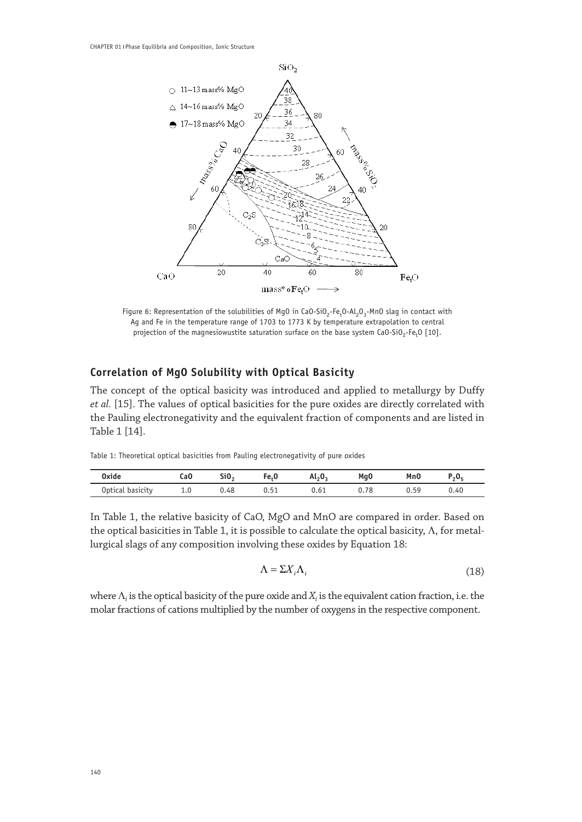

Figure 6: Representation of the solubilities of MgO in CaO-SiO<sub>2</sub>-Fe<sub>t</sub>O-Al<sub>2</sub>O<sub>3</sub>-MnO slag in contact with Ag and Fe in the temperature range of 1703 to 1773 K by temperature extrapolation to central projection of the magnesiowustite saturation surface on the base system <code>CaO-SiO $_2$ -Fe $_{\rm t}$ O</code> [10].

#### **Correlation of MgO Solubility with Optical Basicity**

The concept of the optical basicity was introduced and applied to metallurgy by Duffy *et al.* [15]. The values of optical basicities for the pure oxides are directly correlated with the Pauling electronegativity and the equivalent fraction of components and are listed in Table 1 [14].

Table 1: Theoretical optical basicities from Pauling electronegativity of pure oxides

| <b>Oxide</b>        | CaO | Si0  | ™e.0 | Al <sub>2</sub> 0 <sub>2</sub> | Ma <sub>0</sub> | MnG |      |
|---------------------|-----|------|------|--------------------------------|-----------------|-----|------|
| Optical<br>hasicity | 1.0 | 0.48 |      |                                | J.78            | 50  | 0.40 |

In Table 1, the relative basicity of CaO, MgO and MnO are compared in order. Based on the optical basicities in Table 1, it is possible to calculate the optical basicity, Λ, for metallurgical slags of any composition involving these oxides by Equation 18:

$$
\Lambda = \Sigma X_i \Lambda_i \tag{18}
$$

where  $\Lambda_i$  is the optical basicity of the pure oxide and  $X_i$  is the equivalent cation fraction, i.e. the molar fractions of cations multiplied by the number of oxygens in the respective component.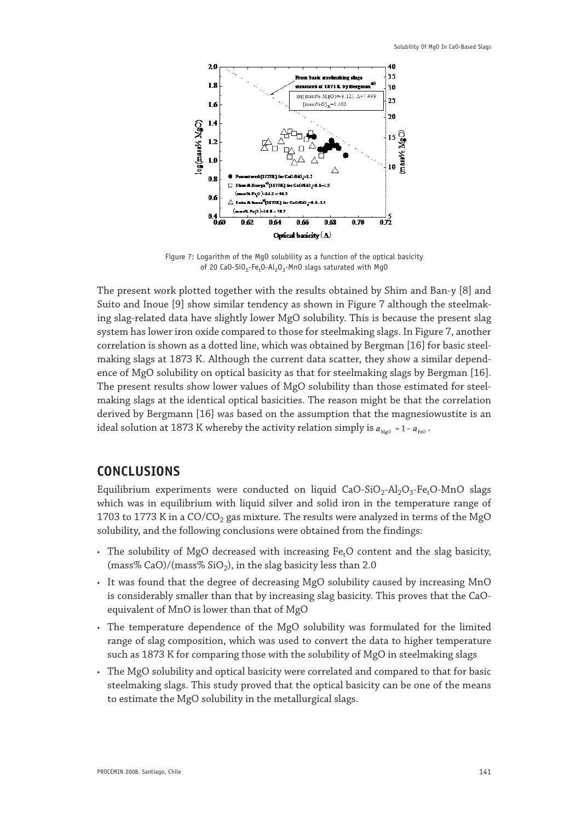

Figure 7: Logarithm of the MgO solubility as a function of the optical basicity of 20 CaO-SiO<sub>2</sub>-Fe<sub>t</sub>O-Al<sub>2</sub>O<sub>3</sub>-MnO slags saturated with MgO

The present work plotted together with the results obtained by Shim and Ban-y [8] and Suito and Inoue [9] show similar tendency as shown in Figure 7 although the steelmaking slag-related data have slightly lower MgO solubility. This is because the present slag system has lower iron oxide compared to those for steelmaking slags. In Figure 7, another correlation is shown as a dotted line, which was obtained by Bergman [16] for basic steelmaking slags at 1873 K. Although the current data scatter, they show a similar dependence of MgO solubility on optical basicity as that for steelmaking slags by Bergman [16]. The present results show lower values of MgO solubility than those estimated for steelmaking slags at the identical optical basicities. The reason might be that the correlation derived by Bergmann [16] was based on the assumption that the magnesiowustite is an ideal solution at 1873 K whereby the activity relation simply is  $a_{\text{M}_{600}} = 1 - a_{\text{E}_{60}}$ .

## **CONCLUSIONS**

Equilibrium experiments were conducted on liquid  $CaO-SIO<sub>2</sub>-Al<sub>2</sub>O<sub>3</sub>-Fe<sub>1</sub>O<sub>2</sub>$ MnO slags which was in equilibrium with liquid silver and solid iron in the temperature range of 1703 to 1773 K in a  $CO/CO<sub>2</sub>$  gas mixture. The results were analyzed in terms of the MgO solubility, and the following conclusions were obtained from the findings:

- $\cdot$  The solubility of MgO decreased with increasing Fe<sub>t</sub>O content and the slag basicity, (mass% CaO)/(mass%  $SiO<sub>2</sub>$ ), in the slag basicity less than 2.0
- It was found that the degree of decreasing MgO solubility caused by increasing MnO is considerably smaller than that by increasing slag basicity. This proves that the CaOequivalent of MnO is lower than that of MgO
- The temperature dependence of the MgO solubility was formulated for the limited range of slag composition, which was used to convert the data to higher temperature such as 1873 K for comparing those with the solubility of MgO in steelmaking slags
- The MgO solubility and optical basicity were correlated and compared to that for basic steelmaking slags. This study proved that the optical basicity can be one of the means to estimate the MgO solubility in the metallurgical slags.